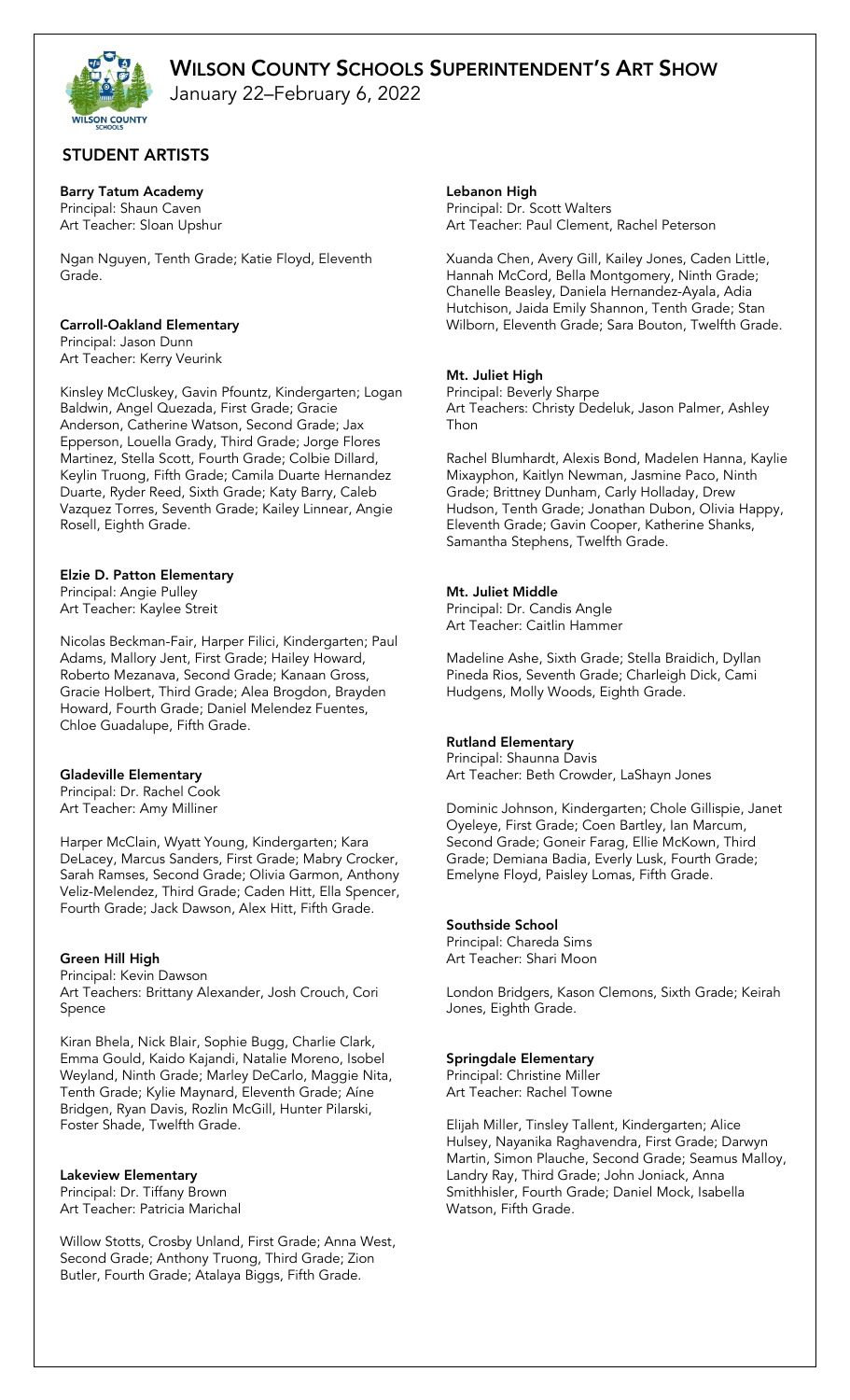January 22–February 6, 2022

## STUDENT ARTISTS

## Barry Tatum Academy

Principal: Shaun Caven Art Teacher: Sloan Upshur

Ngan Nguyen, Tenth Grade; Katie Floyd, Eleventh Grade.

## Carroll-Oakland Elementary

Principal: Jason Dunn Art Teacher: Kerry Veurink

Kinsley McCluskey, Gavin Pfountz, Kindergarten; Logan Baldwin, Angel Quezada, First Grade; Gracie Anderson, Catherine Watson, Second Grade; Jax Epperson, Louella Grady, Third Grade; Jorge Flores Martinez, Stella Scott, Fourth Grade; Colbie Dillard, Keylin Truong, Fifth Grade; Camila Duarte Hernandez Duarte, Ryder Reed, Sixth Grade; Katy Barry, Caleb Vazquez Torres, Seventh Grade; Kailey Linnear, Angie Rosell, Eighth Grade.

## Elzie D. Patton Elementary

Principal: Angie Pulley Art Teacher: Kaylee Streit

Nicolas Beckman-Fair, Harper Filici, Kindergarten; Paul Adams, Mallory Jent, First Grade; Hailey Howard, Roberto Mezanava, Second Grade; Kanaan Gross, Gracie Holbert, Third Grade; Alea Brogdon, Brayden Howard, Fourth Grade; Daniel Melendez Fuentes, Chloe Guadalupe, Fifth Grade.

## Gladeville Elementary

Principal: Dr. Rachel Cook Art Teacher: Amy Milliner

Harper McClain, Wyatt Young, Kindergarten; Kara DeLacey, Marcus Sanders, First Grade; Mabry Crocker, Sarah Ramses, Second Grade; Olivia Garmon, Anthony Veliz-Melendez, Third Grade; Caden Hitt, Ella Spencer, Fourth Grade; Jack Dawson, Alex Hitt, Fifth Grade.

## Green Hill High

Principal: Kevin Dawson Art Teachers: Brittany Alexander, Josh Crouch, Cori Spence

Kiran Bhela, Nick Blair, Sophie Bugg, Charlie Clark, Emma Gould, Kaido Kajandi, Natalie Moreno, Isobel Weyland, Ninth Grade; Marley DeCarlo, Maggie Nita, Tenth Grade; Kylie Maynard, Eleventh Grade; Aíne Bridgen, Ryan Davis, Rozlin McGill, Hunter Pilarski, Foster Shade, Twelfth Grade.

## Lakeview Elementary

Principal: Dr. Tiffany Brown Art Teacher: Patricia Marichal

Willow Stotts, Crosby Unland, First Grade; Anna West, Second Grade; Anthony Truong, Third Grade; Zion Butler, Fourth Grade; Atalaya Biggs, Fifth Grade.

Lebanon High

Principal: Dr. Scott Walters Art Teacher: Paul Clement, Rachel Peterson

Xuanda Chen, Avery Gill, Kailey Jones, Caden Little, Hannah McCord, Bella Montgomery, Ninth Grade; Chanelle Beasley, Daniela Hernandez-Ayala, Adia Hutchison, Jaida Emily Shannon, Tenth Grade; Stan Wilborn, Eleventh Grade; Sara Bouton, Twelfth Grade.

## Mt. Juliet High

Principal: Beverly Sharpe Art Teachers: Christy Dedeluk, Jason Palmer, Ashley Thon

Rachel Blumhardt, Alexis Bond, Madelen Hanna, Kaylie Mixayphon, Kaitlyn Newman, Jasmine Paco, Ninth Grade; Brittney Dunham, Carly Holladay, Drew Hudson, Tenth Grade; Jonathan Dubon, Olivia Happy, Eleventh Grade; Gavin Cooper, Katherine Shanks, Samantha Stephens, Twelfth Grade.

## Mt. Juliet Middle

Principal: Dr. Candis Angle Art Teacher: Caitlin Hammer

Madeline Ashe, Sixth Grade; Stella Braidich, Dyllan Pineda Rios, Seventh Grade; Charleigh Dick, Cami Hudgens, Molly Woods, Eighth Grade.

## Rutland Elementary

Principal: Shaunna Davis Art Teacher: Beth Crowder, LaShayn Jones

Dominic Johnson, Kindergarten; Chole Gillispie, Janet Oyeleye, First Grade; Coen Bartley, Ian Marcum, Second Grade; Goneir Farag, Ellie McKown, Third Grade; Demiana Badia, Everly Lusk, Fourth Grade; Emelyne Floyd, Paisley Lomas, Fifth Grade.

## Southside School

Principal: Chareda Sims Art Teacher: Shari Moon

London Bridgers, Kason Clemons, Sixth Grade; Keirah Jones, Eighth Grade.

## Springdale Elementary

Principal: Christine Miller Art Teacher: Rachel Towne

Elijah Miller, Tinsley Tallent, Kindergarten; Alice Hulsey, Nayanika Raghavendra, First Grade; Darwyn Martin, Simon Plauche, Second Grade; Seamus Malloy, Landry Ray, Third Grade; John Joniack, Anna Smithhisler, Fourth Grade; Daniel Mock, Isabella Watson, Fifth Grade.